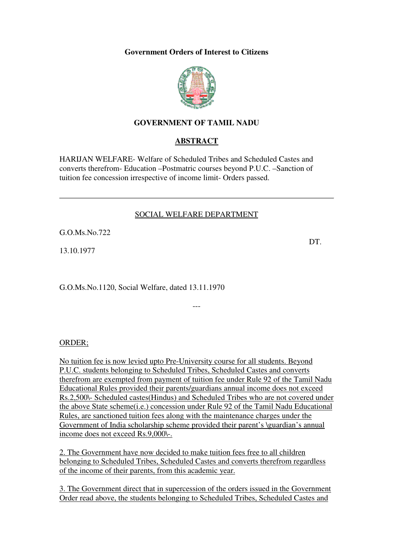#### **Government Orders of Interest to Citizens**



## **GOVERNMENT OF TAMIL NADU**

### **ABSTRACT**

HARIJAN WELFARE- Welfare of Scheduled Tribes and Scheduled Castes and converts therefrom- Education –Postmatric courses beyond P.U.C. –Sanction of tuition fee concession irrespective of income limit- Orders passed.

#### SOCIAL WELFARE DEPARTMENT

---

G.O.Ms.No.722

13.10.1977

G.O.Ms.No.1120, Social Welfare, dated 13.11.1970

ORDER;

No tuition fee is now levied upto Pre-University course for all students. Beyond P.U.C. students belonging to Scheduled Tribes, Scheduled Castes and converts therefrom are exempted from payment of tuition fee under Rule 92 of the Tamil Nadu Educational Rules provided their parents/guardians annual income does not exceed Rs.2,500\- Scheduled castes(Hindus) and Scheduled Tribes who are not covered under the above State scheme(i.e.) concession under Rule 92 of the Tamil Nadu Educational Rules, are sanctioned tuition fees along with the maintenance charges under the Government of India scholarship scheme provided their parent's \guardian's annual income does not exceed Rs.9,000\-.

2. The Government have now decided to make tuition fees free to all children belonging to Scheduled Tribes, Scheduled Castes and converts therefrom regardless of the income of their parents, from this academic year.

3. The Government direct that in supercession of the orders issued in the Government Order read above, the students belonging to Scheduled Tribes, Scheduled Castes and

DT.